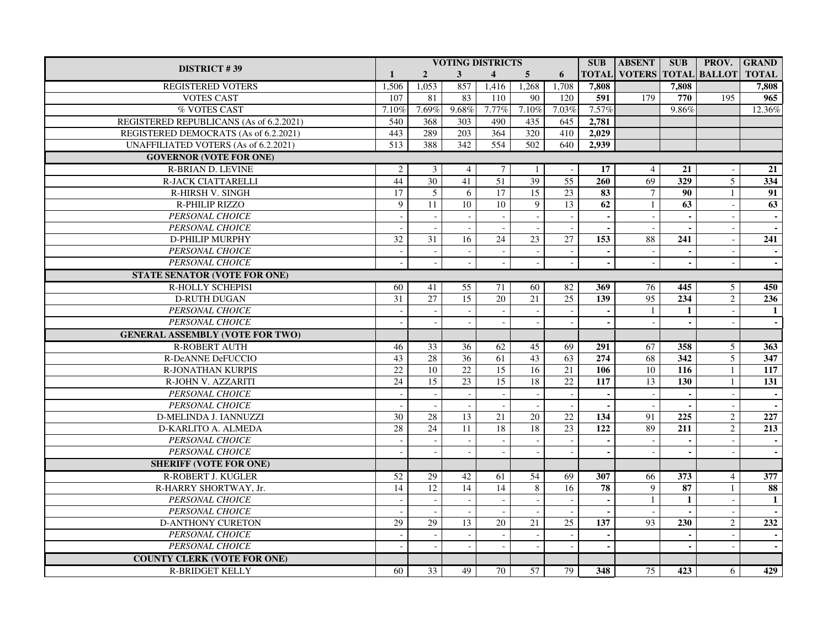| <b>DISTRICT #39</b>                         |                  |                          |                  | <b>VOTING DISTRICTS</b>  |                          |                 | <b>SUB</b>               | <b>ABSENT</b>             | <b>SUB</b>        |                          | <b>PROV.</b> GRAND |
|---------------------------------------------|------------------|--------------------------|------------------|--------------------------|--------------------------|-----------------|--------------------------|---------------------------|-------------------|--------------------------|--------------------|
|                                             | $\mathbf{1}$     | $\overline{2}$           | 3 <sup>1</sup>   | $\overline{4}$           | 5 <sup>5</sup>           | 6               | <b>TOTAL</b>             | VOTERS TOTAL BALLOT TOTAL |                   |                          |                    |
| <b>REGISTERED VOTERS</b>                    | 1,506            | 1,053                    | 857              | 1,416                    | 1,268                    | 1,708           | 7,808                    |                           | 7,808             |                          | 7,808              |
| <b>VOTES CAST</b>                           | 107              | 81                       | 83               | 110                      | 90                       | 120             | 591                      | 179                       | 770               | 195                      | 965                |
| % VOTES CAST                                | 7.10%            | 7.69%                    | 9.68%            | 7.77%                    | 7.10%                    | 7.03%           | 7.57%                    |                           | 9.86%             |                          | $12.36\%$          |
| REGISTERED REPUBLICANS (As of 6.2.2021)     | 540              | 368                      | $\overline{303}$ | 490                      | 435                      | 645             | 2,781                    |                           |                   |                          |                    |
| REGISTERED DEMOCRATS (As of 6.2.2021)       | 443              | 289                      | 203              | 364                      | 320                      | 410             | 2,029                    |                           |                   |                          |                    |
| <b>UNAFFILIATED VOTERS (As of 6.2.2021)</b> | $\overline{513}$ | 388                      | 342              | 554                      | $\overline{502}$         | 640             | 2,939                    |                           |                   |                          |                    |
| <b>GOVERNOR (VOTE FOR ONE)</b>              |                  |                          |                  |                          |                          |                 |                          |                           |                   |                          |                    |
| <b>R-BRIAN D. LEVINE</b>                    | $\sqrt{2}$       | 3                        | $\overline{4}$   | 7                        | $\mathbf{1}$             |                 | 17                       | 4                         | 21                |                          | $\overline{21}$    |
| <b>R-JACK CIATTARELLI</b>                   | 44               | 30                       | 41               | 51                       | 39                       | 55              | 260                      | 69                        | 329               | $\overline{5}$           | 334                |
| R-HIRSH V. SINGH                            | 17               | 5                        | 6                | 17                       | 15                       | 23              | 83                       | $\overline{7}$            | 90                | $\mathbf{1}$             | 91                 |
| R-PHILIP RIZZO                              | 9                | 11                       | 10               | 10 <sup>1</sup>          | $\mathbf{Q}$             | $\overline{13}$ | 62                       | $\mathbf{1}$              | 63                |                          | $\overline{63}$    |
| PERSONAL CHOICE                             | $\overline{a}$   |                          |                  |                          |                          |                 | $\blacksquare$           |                           | $\sim$            |                          |                    |
| PERSONAL CHOICE                             |                  |                          |                  | $\mathcal{L}$            |                          |                 | $\overline{\phantom{a}}$ |                           | $\overline{a}$    | $\overline{a}$           |                    |
| D-PHILIP MURPHY                             | 32               | 31                       | 16               | 24                       | 23                       | 27              | 153                      | 88                        | 241               |                          | 241                |
| PERSONAL CHOICE                             |                  |                          |                  | $\overline{\phantom{a}}$ |                          |                 |                          |                           | $\sim$            |                          |                    |
| PERSONAL CHOICE                             |                  |                          |                  | $\sim$                   | $\mathbf{r}$             |                 |                          |                           | $\blacksquare$    | $\overline{a}$           |                    |
| <b>STATE SENATOR (VOTE FOR ONE)</b>         |                  |                          |                  |                          |                          |                 |                          |                           |                   |                          |                    |
| R-HOLLY SCHEPISI                            | 60               | 41                       | 55               | 71                       | 60                       | 82              | 369                      | 76                        | 445               | 5                        | 450                |
| <b>D-RUTH DUGAN</b>                         | 31               | $\overline{27}$          | $\overline{15}$  | 20                       | $\overline{21}$          | $\overline{25}$ | $\overline{139}$         | 95                        | 234               | $\overline{2}$           | 236                |
| PERSONAL CHOICE                             | $\sim$           | $\overline{\phantom{a}}$ | $\sim$           | $\sim$                   | $\sim$                   | $\sim$          | $\blacksquare$           | -1                        | $\mathbf{1}$      | $\overline{\phantom{a}}$ | 1                  |
| <b>PERSONAL CHOICE</b>                      |                  |                          |                  |                          |                          |                 |                          |                           |                   |                          |                    |
| <b>GENERAL ASSEMBLY (VOTE FOR TWO)</b>      |                  |                          |                  |                          |                          |                 |                          |                           |                   |                          |                    |
| <b>R-ROBERT AUTH</b>                        | 46               | 33                       | 36               | 62                       | 45                       | 69              | 291                      | 67                        | 358               | 5 <sup>5</sup>           | 363                |
| <b>R-DeANNE DeFUCCIO</b>                    | 43               | $28\,$                   | 36               | 61                       | 43                       | 63              | 274                      | 68                        | 342               | 5                        | 347                |
| <b>R-JONATHAN KURPIS</b>                    | $\overline{22}$  | 10                       | 22               | $\overline{15}$          | $\overline{16}$          | $\overline{21}$ | 106                      | 10                        | $\frac{116}{116}$ | $\mathbf{1}$             | 117                |
| R-JOHN V. AZZARITI                          | 24               | 15                       | $\overline{23}$  | $\overline{15}$          | 18                       | 22              | 117                      | 13                        | 130               | 1                        | 131                |
| PERSONAL CHOICE                             | $\sim$           |                          |                  | $\overline{\phantom{a}}$ | $\overline{\phantom{a}}$ | $\blacksquare$  | $\blacksquare$           | $\overline{\phantom{a}}$  |                   | $\overline{\phantom{a}}$ |                    |
| PERSONAL CHOICE                             |                  |                          |                  | $\sim$                   |                          |                 |                          | $\overline{a}$            | $\blacksquare$    |                          |                    |
| D-MELINDA J. IANNUZZI                       | 30               | 28                       | $\overline{13}$  | 21                       | 20                       | 22              | 134                      | 91                        | 225               | $\overline{2}$           | 227                |
| D-KARLITO A. ALMEDA                         | $\overline{28}$  | 24                       | 11               | 18                       | 18                       | $\overline{23}$ | 122                      | 89                        | 211               | $\overline{2}$           | $\overline{213}$   |
| PERSONAL CHOICE                             |                  |                          |                  |                          |                          |                 |                          |                           |                   | $\overline{\phantom{a}}$ |                    |
| PERSONAL CHOICE                             |                  |                          |                  |                          |                          |                 |                          |                           |                   |                          |                    |
| <b>SHERIFF (VOTE FOR ONE)</b>               |                  |                          |                  |                          |                          |                 |                          |                           |                   |                          |                    |
| <b>R-ROBERT J. KUGLER</b>                   | 52               | 29                       | 42               | 61                       | 54                       | 69              | 307                      | 66                        | 373               | $\overline{4}$           | 377                |
| R-HARRY SHORTWAY, Jr.                       | 14               | 12                       | 14               | 14                       | 8                        | 16              | 78                       | 9                         | 87                | $\mathbf{1}$             | 88                 |
| PERSONAL CHOICE                             |                  |                          |                  | $\sim$                   |                          |                 |                          | 1                         | $\mathbf{1}$      | $\sim$                   | $\mathbf{1}$       |
| <b>PERSONAL CHOICE</b>                      |                  |                          |                  |                          |                          |                 |                          |                           | $\sim$            |                          |                    |
| <b>D-ANTHONY CURETON</b>                    | 29               | 29                       | 13               | 20                       | 21                       | $\overline{25}$ | 137                      | 93                        | 230               | $\overline{2}$           | 232                |
| PERSONAL CHOICE                             | $\sim$           |                          |                  | $\sim$                   |                          | $\sim$          |                          |                           | $\sim$            | $\sim$                   |                    |
| <b>PERSONAL CHOICE</b>                      |                  |                          |                  |                          |                          |                 | ä,                       |                           |                   |                          |                    |
| <b>COUNTY CLERK (VOTE FOR ONE)</b>          |                  |                          |                  |                          |                          |                 |                          |                           |                   |                          |                    |
| <b>R-BRIDGET KELLY</b>                      | 60               | 33                       | 49               | 70                       | 57                       | 79              | 348                      | 75                        | 423               | 6                        | 429                |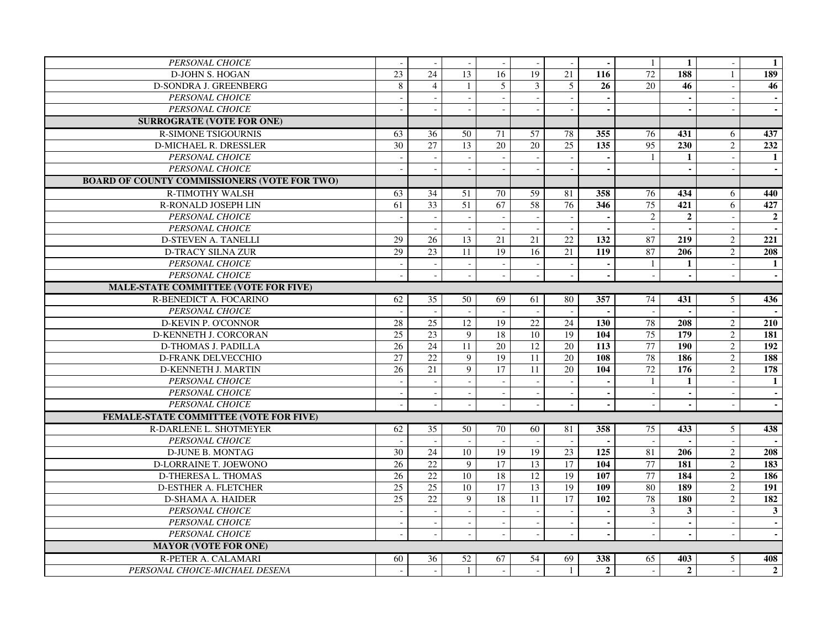| PERSONAL CHOICE                                     |                          |                          |                 |                          |                 |                          | $\blacksquare$   | -1              | $\mathbf{1}$     |                  | $\mathbf{1}$     |
|-----------------------------------------------------|--------------------------|--------------------------|-----------------|--------------------------|-----------------|--------------------------|------------------|-----------------|------------------|------------------|------------------|
| <b>D-JOHN S. HOGAN</b>                              | $\overline{23}$          | $\overline{24}$          | $\overline{13}$ | 16                       | 19              | 21                       | 116              | 72              | 188              | $\mathbf{1}$     | 189              |
| <b>D-SONDRA J. GREENBERG</b>                        | 8                        | $\overline{4}$           | $\mathbf{1}$    | 5                        | $\overline{3}$  | $\overline{5}$           | 26               | 20              | 46               |                  | 46               |
| <b>PERSONAL CHOICE</b>                              |                          |                          |                 |                          |                 |                          |                  |                 |                  |                  |                  |
| <b>PERSONAL CHOICE</b>                              |                          |                          |                 |                          |                 |                          | ä,               |                 | $\mathbf{r}$     |                  | $\mathbf{r}$     |
| <b>SURROGRATE (VOTE FOR ONE)</b>                    |                          |                          |                 |                          |                 |                          |                  |                 |                  |                  |                  |
| <b>R-SIMONE TSIGOURNIS</b>                          | 63                       | 36                       | 50              | 71                       | $\overline{57}$ | 78                       | $\overline{355}$ | 76              | 431              | 6                | 437              |
| <b>D-MICHAEL R. DRESSLER</b>                        | $\overline{30}$          | 27                       | 13              | $\overline{20}$          | $\overline{20}$ | $\overline{25}$          | 135              | $\overline{95}$ | 230              | $\overline{2}$   | 232              |
| PERSONAL CHOICE                                     | $\overline{\phantom{a}}$ | $\overline{\phantom{a}}$ | $\omega$        | $\sim$                   | $\sim$          | $\sim$                   | $\blacksquare$   | 1               | $\mathbf{1}$     | $\blacksquare$   | -1               |
| PERSONAL CHOICE                                     |                          |                          |                 |                          |                 |                          | $\blacksquare$   |                 | $\blacksquare$   |                  |                  |
| <b>BOARD OF COUNTY COMMISSIONERS (VOTE FOR TWO)</b> |                          |                          |                 |                          |                 |                          |                  |                 |                  |                  |                  |
| <b>R-TIMOTHY WALSH</b>                              | 63                       | 34                       | 51              | 70                       | $\overline{59}$ | 81                       | 358              | 76              | 434              | 6                | 440              |
| R-RONALD JOSEPH LIN                                 | 61                       | $\overline{33}$          | $\overline{51}$ | 67                       | $\overline{58}$ | 76                       | 346              | $\overline{75}$ | 421              | 6                | 427              |
| PERSONAL CHOICE                                     | $\sim$                   | $\sim$                   | $\blacksquare$  | $\mathcal{L}$            |                 | $\overline{\phantom{a}}$ | $\blacksquare$   | $\mathbf{2}$    | $\overline{2}$   | $\sim$           | $\overline{2}$   |
| PERSONAL CHOICE                                     |                          |                          |                 | $\sim$                   |                 |                          |                  |                 |                  |                  |                  |
| <b>D-STEVEN A. TANELLI</b>                          | $\overline{29}$          | 26                       | $\overline{13}$ | $\overline{21}$          | $\overline{21}$ | $\overline{22}$          | 132              | 87              | $\overline{219}$ | $\overline{2}$   | $\overline{221}$ |
| <b>D-TRACY SILNA ZUR</b>                            | 29                       | $\overline{23}$          | $\overline{11}$ | $\overline{19}$          | $\overline{16}$ | $\overline{21}$          | $\overline{119}$ | 87              | 206              | $\overline{2}$   | 208              |
| PERSONAL CHOICE                                     |                          | $\overline{\phantom{a}}$ |                 | $\overline{\phantom{a}}$ |                 |                          |                  | -1              | $\mathbf{1}$     |                  | 1                |
| PERSONAL CHOICE                                     |                          |                          |                 | $\sim$                   |                 |                          | $\blacksquare$   |                 | $\sim$           |                  | $\bullet$        |
| <b>MALE-STATE COMMITTEE (VOTE FOR FIVE)</b>         |                          |                          |                 |                          |                 |                          |                  |                 |                  |                  |                  |
| R-BENEDICT A. FOCARINO                              | 62                       | 35                       | 50              | 69                       | 61              | 80                       | 357              | 74              | 431              | $\overline{5}$   | 436              |
| PERSONAL CHOICE                                     |                          |                          |                 | $\sim$                   |                 | $\sim$                   | $\sim$           | $\sim$          | $\mathbf{r}$     | $\sim$           |                  |
| <b>D-KEVIN P. O'CONNOR</b>                          | 28                       | 25                       | 12              | 19                       | 22              | 24                       | 130              | 78              | 208              | $\overline{2}$   | 210              |
| D-KENNETH J. CORCORAN                               | 25                       | 23                       | 9               | 18                       | 10              | $\overline{19}$          | 104              | 75              | $\frac{179}{ }$  | $\overline{2}$   | 181              |
| <b>D-THOMAS J. PADILLA</b>                          | $\overline{26}$          | 24                       | 11              | $\overline{20}$          | $\overline{12}$ | 20                       | $\overline{113}$ | 77              | 190              | $\overline{2}$   | $\overline{192}$ |
| <b>D-FRANK DELVECCHIO</b>                           | $\overline{27}$          | 22                       | 9               | 19                       | $\overline{11}$ | 20                       | 108              | 78              | 186              | $\sqrt{2}$       | 188              |
| D-KENNETH J. MARTIN                                 | 26                       | 21                       | $\mathbf{Q}$    | 17                       | 11              | 20                       | 104              | 72              | 176              | $\overline{2}$   | 178              |
| PERSONAL CHOICE                                     |                          |                          |                 | $\sim$                   |                 |                          |                  | $\mathbf{1}$    | 1                | $\sim$           | $\mathbf{1}$     |
| PERSONAL CHOICE                                     |                          |                          |                 |                          |                 |                          | $\blacksquare$   |                 | $\blacksquare$   |                  |                  |
| PERSONAL CHOICE                                     |                          |                          |                 |                          |                 |                          |                  |                 |                  |                  |                  |
| FEMALE-STATE COMMITTEE (VOTE FOR FIVE)              |                          |                          |                 |                          |                 |                          |                  |                 |                  |                  |                  |
| R-DARLENE L. SHOTMEYER                              | 62                       | 35                       | 50              | 70                       | 60              | 81                       | 358              | 75              | 433              | 5                | 438              |
| PERSONAL CHOICE                                     |                          |                          |                 | $\sim$                   |                 |                          |                  |                 |                  |                  |                  |
| <b>D-JUNE B. MONTAG</b>                             | 30                       | $\overline{24}$          | $\overline{10}$ | 19                       | $\overline{19}$ | $\overline{23}$          | $\overline{125}$ | 81              | 206              | $\sqrt{2}$       | 208              |
| D-LORRAINE T. JOEWONO                               | 26                       | $\overline{22}$          | 9               | $\overline{17}$          | $\overline{13}$ | 17                       | 104              | $\overline{77}$ | 181              | $\boldsymbol{2}$ | 183              |
| D-THERESA L. THOMAS                                 | $\overline{26}$          | 22                       | 10              | 18                       | $\overline{12}$ | 19                       | 107              | 77              | 184              | $\mathbf{2}$     | 186              |
| <b>D-ESTHER A. FLETCHER</b>                         | $\overline{25}$          | $\overline{25}$          | $\overline{10}$ | $\overline{17}$          | $\overline{13}$ | 19                       | 109              | 80              | 189              | $\overline{2}$   | 191              |
| <b>D-SHAMA A. HAIDER</b>                            | $\overline{25}$          | $\overline{22}$          | $\mathbf{Q}$    | 18                       | 11              | 17                       | 102              | 78              | 180              | $\overline{2}$   | 182              |
| PERSONAL CHOICE                                     |                          |                          |                 |                          |                 |                          |                  | 3               | $\mathbf{3}$     |                  | $\mathbf{3}$     |
| PERSONAL CHOICE                                     |                          | $\sim$                   |                 | $\omega$                 |                 |                          |                  |                 | $\blacksquare$   |                  | $\sim$           |
| PERSONAL CHOICE                                     |                          | $\bar{a}$                |                 | $\sim$                   |                 |                          |                  |                 | $\blacksquare$   | $\sim$           | $\mathbf{r}$     |
| <b>MAYOR (VOTE FOR ONE)</b>                         |                          |                          |                 |                          |                 |                          |                  |                 |                  |                  |                  |
| R-PETER A. CALAMARI                                 | 60                       | 36                       | $\overline{52}$ | 67                       | 54              | 69                       | 338              | 65              | 403              | 5                | 408              |
| PERSONAL CHOICE-MICHAEL DESENA                      | $\sim$                   | $\sim$                   | 1               | $\sim$                   | $\sim$          | $\mathbf{1}$             | $\overline{2}$   |                 | $\overline{2}$   |                  | $\overline{2}$   |